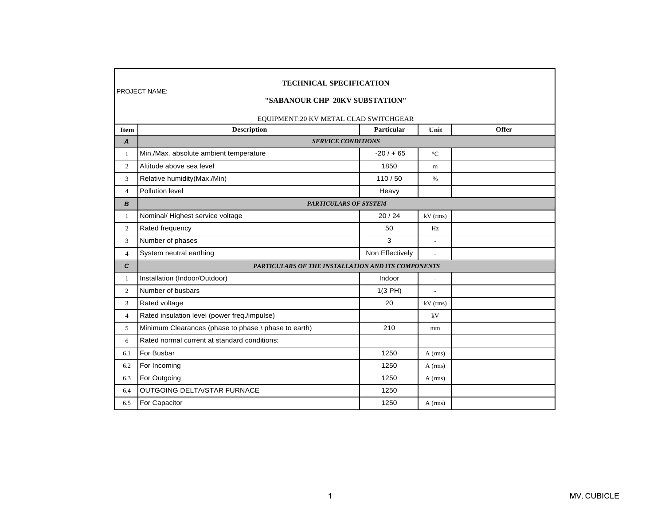|                | <b>TECHNICAL SPECIFICATION</b><br><b>PROJECT NAME:</b><br>"SABANOUR CHP 20KV SUBSTATION"<br>EQUIPMENT:20 KV METAL CLAD SWITCHGEAR |                   |                 |              |
|----------------|-----------------------------------------------------------------------------------------------------------------------------------|-------------------|-----------------|--------------|
| <b>Item</b>    | <b>Description</b>                                                                                                                | <b>Particular</b> | Unit            | <b>Offer</b> |
| A              | <b>SERVICE CONDITIONS</b>                                                                                                         |                   |                 |              |
| 1              | Min./Max. absolute ambient temperature                                                                                            | $-20/ + 65$       | $\rm ^{\circ}C$ |              |
| $\overline{2}$ | Altitude above sea level                                                                                                          | 1850              | m               |              |
| 3              | Relative humidity (Max./Min)                                                                                                      | 110/50            | %               |              |
| $\overline{4}$ | Pollution level                                                                                                                   | Heavy             |                 |              |
| B              | <b>PARTICULARS OF SYSTEM</b>                                                                                                      |                   |                 |              |
| -1             | Nominal/ Highest service voltage                                                                                                  | 20/24             | $kV$ (rms)      |              |
| $\mathbf{2}$   | Rated frequency                                                                                                                   | 50                | Hz              |              |
| 3              | Number of phases                                                                                                                  | 3                 |                 |              |
| $\overline{4}$ | System neutral earthing                                                                                                           | Non Effectively   | $\sim$          |              |
| C              | PARTICULARS OF THE INSTALLATION AND ITS COMPONENTS                                                                                |                   |                 |              |
| 1              | Installation (Indoor/Outdoor)                                                                                                     | Indoor            | $\overline{a}$  |              |
| 2              | Number of busbars                                                                                                                 | 1(3 PH)           |                 |              |
| 3              | Rated voltage                                                                                                                     | 20                | $kV$ (rms)      |              |
| $\overline{4}$ | Rated insulation level (power freq./impulse)                                                                                      |                   | kV              |              |
| 5              | Minimum Clearances (phase to phase \ phase to earth)                                                                              | 210               | mm              |              |
| 6              | Rated normal current at standard conditions:                                                                                      |                   |                 |              |
| 6.1            | For Busbar                                                                                                                        | 1250              | $A$ (rms)       |              |
| 6.2            | For Incoming                                                                                                                      | 1250              | $A$ (rms)       |              |
| 6.3            | For Outgoing                                                                                                                      | 1250              | $A$ (rms)       |              |
| 6.4            | <b>OUTGOING DELTA/STAR FURNACE</b>                                                                                                | 1250              |                 |              |
| 6.5            | For Capacitor                                                                                                                     | 1250              | $A$ (rms)       |              |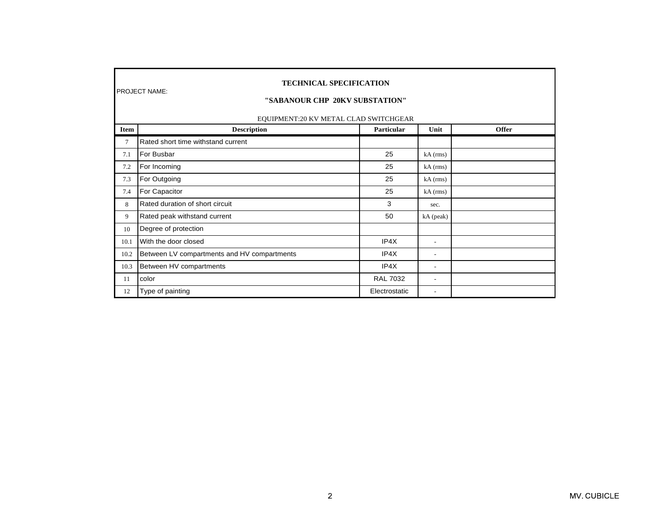|             | <b>TECHNICAL SPECIFICATION</b><br><b>PROJECT NAME:</b><br>"SABANOUR CHP 20KV SUBSTATION"<br>EQUIPMENT:20 KV METAL CLAD SWITCHGEAR |                 |                          |              |  |
|-------------|-----------------------------------------------------------------------------------------------------------------------------------|-----------------|--------------------------|--------------|--|
| <b>Item</b> | <b>Description</b>                                                                                                                | Particular      | Unit                     | <b>Offer</b> |  |
| 7           | Rated short time withstand current                                                                                                |                 |                          |              |  |
| 7.1         | For Busbar                                                                                                                        | 25              | $kA$ (rms)               |              |  |
| 7.2         | For Incoming                                                                                                                      | 25              | $kA$ (rms)               |              |  |
| 7.3         | For Outgoing                                                                                                                      | 25              | $kA$ (rms)               |              |  |
| 7.4         | For Capacitor                                                                                                                     | 25              | $kA$ (rms)               |              |  |
| 8           | Rated duration of short circuit                                                                                                   | 3               | sec.                     |              |  |
| 9           | Rated peak withstand current                                                                                                      | 50              | kA (peak)                |              |  |
| 10          | Degree of protection                                                                                                              |                 |                          |              |  |
| 10.1        | With the door closed                                                                                                              | IP4X            | $\blacksquare$           |              |  |
| 10.2        | Between LV compartments and HV compartments                                                                                       | IP4X            | $\blacksquare$           |              |  |
| 10.3        | Between HV compartments                                                                                                           | IP4X            | $\bar{a}$                |              |  |
| 11          | color                                                                                                                             | <b>RAL 7032</b> | $\overline{\phantom{a}}$ |              |  |
| 12          | Type of painting                                                                                                                  | Electrostatic   | $\bar{a}$                |              |  |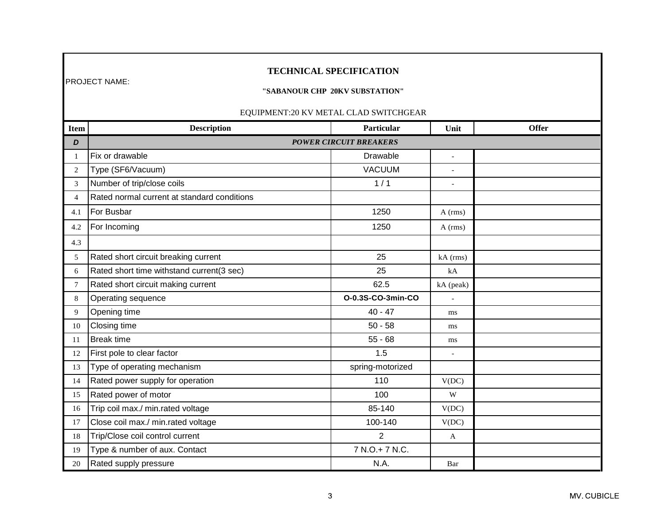## **TECHNICAL SPECIFICATION**

#### **"SABANOUR CHP 20KV SUBSTATION"**

| Item            | <b>Description</b>                          | Particular                    | Unit                     | Offer |
|-----------------|---------------------------------------------|-------------------------------|--------------------------|-------|
| D               |                                             | <b>POWER CIRCUIT BREAKERS</b> |                          |       |
| 1               | Fix or drawable                             | Drawable                      | $\mathcal{L}$            |       |
| 2               | Type (SF6/Vacuum)                           | <b>VACUUM</b>                 | $\overline{\phantom{a}}$ |       |
| 3               | Number of trip/close coils                  | 1/1                           | $\sim$                   |       |
| $\overline{4}$  | Rated normal current at standard conditions |                               |                          |       |
| 4.1             | For Busbar                                  | 1250                          | $A$ (rms)                |       |
| 4.2             | For Incoming                                | 1250                          | $A$ (rms)                |       |
| 4.3             |                                             |                               |                          |       |
| 5               | Rated short circuit breaking current        | 25                            | $kA$ (rms)               |       |
| 6               | Rated short time withstand current(3 sec)   | 25                            | kA                       |       |
| $7\phantom{.0}$ | Rated short circuit making current          | 62.5                          | kA (peak)                |       |
| $\,8\,$         | Operating sequence                          | 0-0.3S-CO-3min-CO             |                          |       |
| 9               | Opening time                                | $40 - 47$                     | ms                       |       |
| 10              | Closing time                                | $50 - 58$                     | ms                       |       |
| 11              | <b>Break time</b>                           | $55 - 68$                     | ms                       |       |
| 12              | First pole to clear factor                  | 1.5                           | $\overline{a}$           |       |
| 13              | Type of operating mechanism                 | spring-motorized              |                          |       |
| 14              | Rated power supply for operation            | 110                           | V(DC)                    |       |
| 15              | Rated power of motor                        | 100                           | W                        |       |
| 16              | Trip coil max./ min.rated voltage           | 85-140                        | V(DC)                    |       |
| 17              | Close coil max./ min.rated voltage          | 100-140                       | V(DC)                    |       |
| 18              | Trip/Close coil control current             | $\overline{2}$                | A                        |       |
| 19              | Type & number of aux. Contact               | 7 N.O.+ 7 N.C.                |                          |       |
| 20              | Rated supply pressure                       | N.A.                          | Bar                      |       |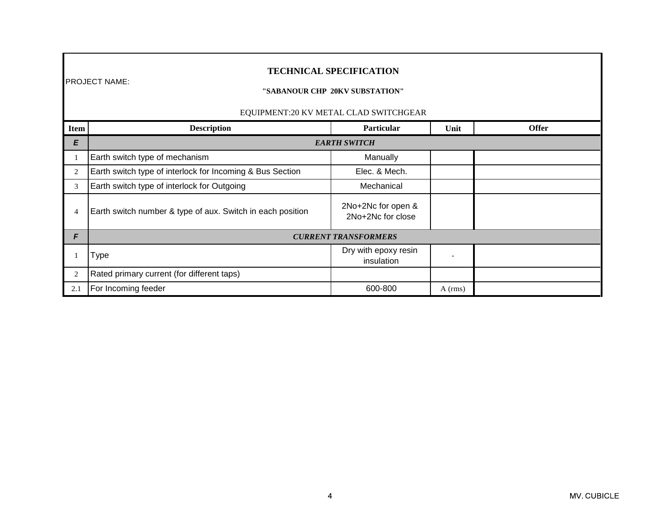|             | <b>TECHNICAL SPECIFICATION</b><br><b>PROJECT NAME:</b><br>"SABANOUR CHP 20KV SUBSTATION"<br>EQUIPMENT:20 KV METAL CLAD SWITCHGEAR |                                         |           |  |  |  |
|-------------|-----------------------------------------------------------------------------------------------------------------------------------|-----------------------------------------|-----------|--|--|--|
| <b>Item</b> | <b>Description</b><br><b>Offer</b><br><b>Particular</b><br>Unit                                                                   |                                         |           |  |  |  |
| E           |                                                                                                                                   | <b>EARTH SWITCH</b>                     |           |  |  |  |
|             | Earth switch type of mechanism                                                                                                    | Manually                                |           |  |  |  |
| 2           | Earth switch type of interlock for Incoming & Bus Section                                                                         | Elec. & Mech.                           |           |  |  |  |
| 3           | Earth switch type of interlock for Outgoing                                                                                       | Mechanical                              |           |  |  |  |
| 4           | Earth switch number & type of aux. Switch in each position                                                                        | 2No+2Nc for open &<br>2No+2Nc for close |           |  |  |  |
| F           |                                                                                                                                   | <b>CURRENT TRANSFORMERS</b>             |           |  |  |  |
|             | Type                                                                                                                              | Dry with epoxy resin<br>insulation      |           |  |  |  |
| 2           | Rated primary current (for different taps)                                                                                        |                                         |           |  |  |  |
| 2.1         | For Incoming feeder                                                                                                               | 600-800                                 | $A$ (rms) |  |  |  |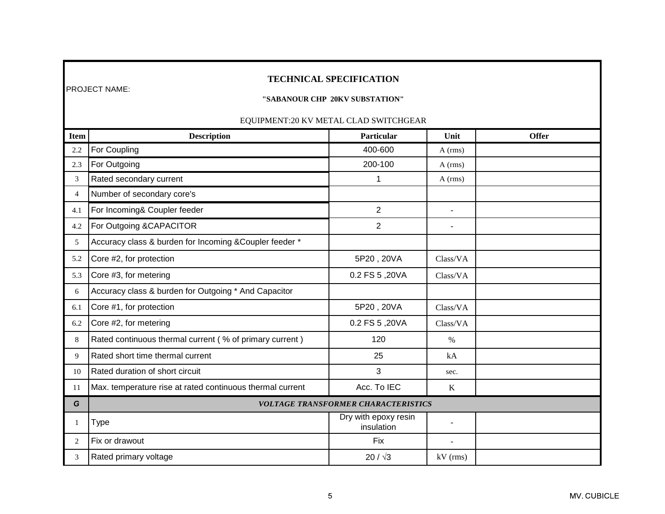## **TECHNICAL SPECIFICATION**

### **"SABANOUR CHP 20KV SUBSTATION"**

| <b>Item</b>    | <b>Description</b>                                        | Particular                         | Unit                     | <b>Offer</b> |  |
|----------------|-----------------------------------------------------------|------------------------------------|--------------------------|--------------|--|
| 2.2            | For Coupling                                              | 400-600                            | $A$ (rms)                |              |  |
| 2.3            | For Outgoing                                              | 200-100                            | $A$ (rms)                |              |  |
| 3              | Rated secondary current                                   |                                    | $A$ (rms)                |              |  |
| $\overline{4}$ | Number of secondary core's                                |                                    |                          |              |  |
| 4.1            | For Incoming& Coupler feeder                              | $\overline{2}$                     | $\blacksquare$           |              |  |
| 4.2            | For Outgoing &CAPACITOR                                   | $\overline{2}$                     |                          |              |  |
| 5              | Accuracy class & burden for Incoming & Coupler feeder *   |                                    |                          |              |  |
| 5.2            | Core #2, for protection                                   | 5P20, 20VA                         | Class/VA                 |              |  |
| 5.3            | Core #3, for metering                                     | 0.2 FS 5,20VA                      | Class/VA                 |              |  |
| 6              | Accuracy class & burden for Outgoing * And Capacitor      |                                    |                          |              |  |
| 6.1            | Core #1, for protection                                   | 5P20, 20VA                         | Class/VA                 |              |  |
| 6.2            | Core #2, for metering                                     | 0.2 FS 5,20VA                      | Class/VA                 |              |  |
| 8              | Rated continuous thermal current (% of primary current)   | 120                                | $\%$                     |              |  |
| 9              | Rated short time thermal current                          | 25                                 | kA                       |              |  |
| 10             | Rated duration of short circuit                           | 3                                  | sec.                     |              |  |
| 11             | Max. temperature rise at rated continuous thermal current | Acc. To IEC                        | $\bf K$                  |              |  |
| G              | <b>VOLTAGE TRANSFORMER CHARACTERISTICS</b>                |                                    |                          |              |  |
| 1              | <b>Type</b>                                               | Dry with epoxy resin<br>insulation | $\overline{\phantom{a}}$ |              |  |
| 2              | Fix or drawout                                            | <b>Fix</b>                         |                          |              |  |
| 3              | Rated primary voltage                                     | $20 / \sqrt{3}$                    | kV (rms)                 |              |  |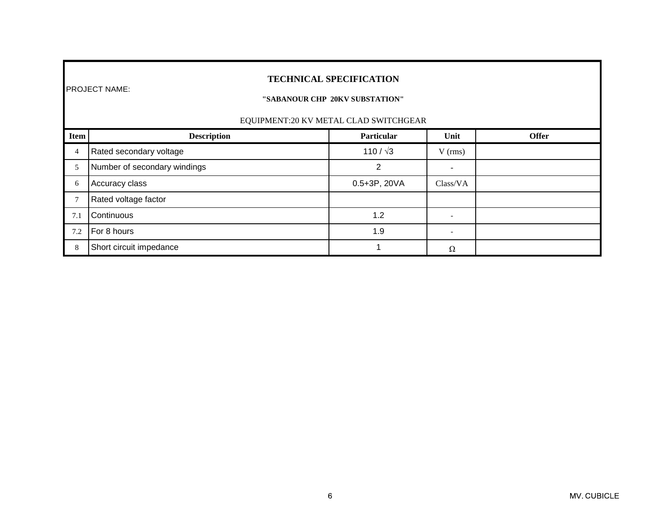## **TECHNICAL SPECIFICATION**

### **"SABANOUR CHP 20KV SUBSTATION"**

| <b>Item</b> | <b>Description</b>           | <b>Particular</b> | Unit      | <b>Offer</b> |
|-------------|------------------------------|-------------------|-----------|--------------|
| 4           | Rated secondary voltage      | 110 / $\sqrt{3}$  | $V$ (rms) |              |
|             | Number of secondary windings | ⌒                 |           |              |
| 6           | Accuracy class               | 0.5+3P, 20VA      | Class/VA  |              |
|             | Rated voltage factor         |                   |           |              |
| 7.1         | Continuous                   | 1.2               |           |              |
| 7.2         | For 8 hours                  | 1.9               |           |              |
| 8           | Short circuit impedance      |                   | Ω         |              |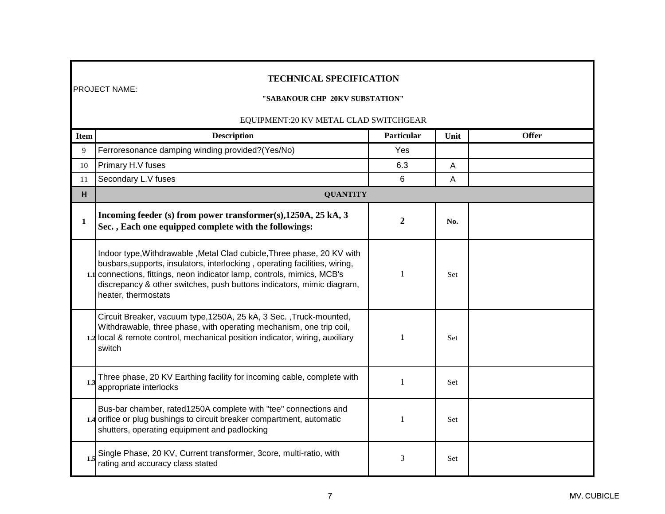## **TECHNICAL SPECIFICATION**

## **"SABANOUR CHP 20KV SUBSTATION"**

| <b>Item</b> | <b>Description</b>                                                                                                                                                                                                                                                                                                              | Particular     | Unit | <b>Offer</b> |
|-------------|---------------------------------------------------------------------------------------------------------------------------------------------------------------------------------------------------------------------------------------------------------------------------------------------------------------------------------|----------------|------|--------------|
| 9           | Ferroresonance damping winding provided?(Yes/No)                                                                                                                                                                                                                                                                                | Yes            |      |              |
| 10          | Primary H.V fuses                                                                                                                                                                                                                                                                                                               | 6.3            | A    |              |
| 11          | Secondary L.V fuses                                                                                                                                                                                                                                                                                                             | 6              | A    |              |
| H           | <b>QUANTITY</b>                                                                                                                                                                                                                                                                                                                 |                |      |              |
| 1           | Incoming feeder (s) from power transformer(s), 1250A, 25 kA, 3<br>Sec., Each one equipped complete with the followings:                                                                                                                                                                                                         | $\overline{2}$ | No.  |              |
|             | Indoor type, Withdrawable, Metal Clad cubicle, Three phase, 20 KV with<br>busbars, supports, insulators, interlocking, operating facilities, wiring,<br>1.1 connections, fittings, neon indicator lamp, controls, mimics, MCB's<br>discrepancy & other switches, push buttons indicators, mimic diagram,<br>heater, thermostats | $\mathbf{1}$   | Set  |              |
|             | Circuit Breaker, vacuum type, 1250A, 25 kA, 3 Sec., Truck-mounted,<br>Withdrawable, three phase, with operating mechanism, one trip coil,<br>1.2 local & remote control, mechanical position indicator, wiring, auxiliary<br>switch                                                                                             |                | Set  |              |
| 1.3         | Three phase, 20 KV Earthing facility for incoming cable, complete with<br>appropriate interlocks                                                                                                                                                                                                                                | 1              | Set  |              |
|             | Bus-bar chamber, rated1250A complete with "tee" connections and<br>1.4 orifice or plug bushings to circuit breaker compartment, automatic<br>shutters, operating equipment and padlocking                                                                                                                                       | 1              | Set  |              |
| 1.5         | Single Phase, 20 KV, Current transformer, 3core, multi-ratio, with<br>rating and accuracy class stated                                                                                                                                                                                                                          | 3              | Set  |              |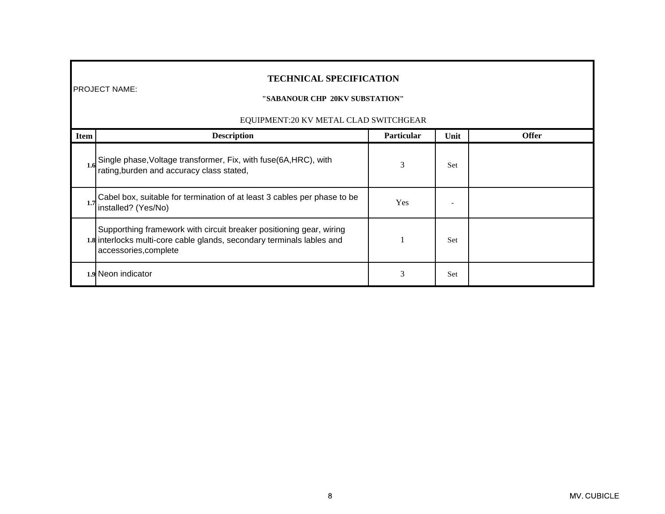## **TECHNICAL SPECIFICATION**

### **"SABANOUR CHP 20KV SUBSTATION"**

| <b>Item</b> | <b>Description</b>                                                                                                                                                     | <b>Particular</b> | Unit | <b>Offer</b> |
|-------------|------------------------------------------------------------------------------------------------------------------------------------------------------------------------|-------------------|------|--------------|
| 1.6         | Single phase, Voltage transformer, Fix, with fuse(6A, HRC), with rating, burden and accuracy class stated,                                                             | 3                 | Set  |              |
|             | Cabel box, suitable for termination of at least 3 cables per phase to be<br>installed? (Yes/No)                                                                        | <b>Yes</b>        |      |              |
|             | Supporthing framework with circuit breaker positioning gear, wiring<br>1.8 interlocks multi-core cable glands, secondary terminals lables and<br>accessories, complete |                   | Set  |              |
|             | 1.9 Neon indicator                                                                                                                                                     | 3                 | Set  |              |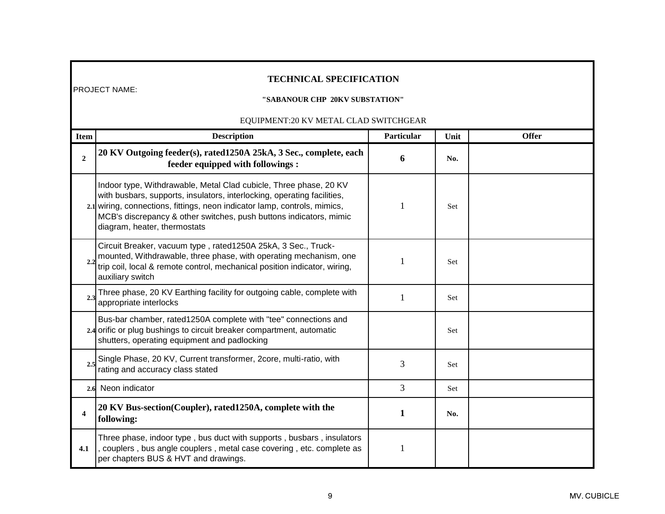# **TECHNICAL SPECIFICATION**

### **"SABANOUR CHP 20KV SUBSTATION"**

| <b>Item</b>             | <b>Description</b>                                                                                                                                                                                                                                                                                                              | Particular   | Unit | <b>Offer</b> |
|-------------------------|---------------------------------------------------------------------------------------------------------------------------------------------------------------------------------------------------------------------------------------------------------------------------------------------------------------------------------|--------------|------|--------------|
| $\overline{2}$          | 20 KV Outgoing feeder(s), rated1250A 25kA, 3 Sec., complete, each<br>feeder equipped with followings :                                                                                                                                                                                                                          | 6            | No.  |              |
|                         | Indoor type, Withdrawable, Metal Clad cubicle, Three phase, 20 KV<br>with busbars, supports, insulators, interlocking, operating facilities,<br>2.1 wiring, connections, fittings, neon indicator lamp, controls, mimics,<br>MCB's discrepancy & other switches, push buttons indicators, mimic<br>diagram, heater, thermostats |              | Set  |              |
| 2.2                     | Circuit Breaker, vacuum type, rated1250A 25kA, 3 Sec., Truck-<br>mounted, Withdrawable, three phase, with operating mechanism, one<br>trip coil, local & remote control, mechanical position indicator, wiring,<br>auxiliary switch                                                                                             |              | Set  |              |
| 2.3                     | Three phase, 20 KV Earthing facility for outgoing cable, complete with<br>appropriate interlocks                                                                                                                                                                                                                                |              | Set  |              |
|                         | Bus-bar chamber, rated1250A complete with "tee" connections and<br>2.4 orific or plug bushings to circuit breaker compartment, automatic<br>shutters, operating equipment and padlocking                                                                                                                                        |              | Set  |              |
| 2.5                     | Single Phase, 20 KV, Current transformer, 2core, multi-ratio, with<br>rating and accuracy class stated                                                                                                                                                                                                                          | 3            | Set  |              |
|                         | 2.6 Neon indicator                                                                                                                                                                                                                                                                                                              | 3            | Set  |              |
| $\overline{\mathbf{4}}$ | 20 KV Bus-section(Coupler), rated1250A, complete with the<br>following:                                                                                                                                                                                                                                                         | $\mathbf{1}$ | No.  |              |
| 4.1                     | Three phase, indoor type, bus duct with supports, busbars, insulators<br>, couplers, bus angle couplers, metal case covering, etc. complete as<br>per chapters BUS & HVT and drawings.                                                                                                                                          |              |      |              |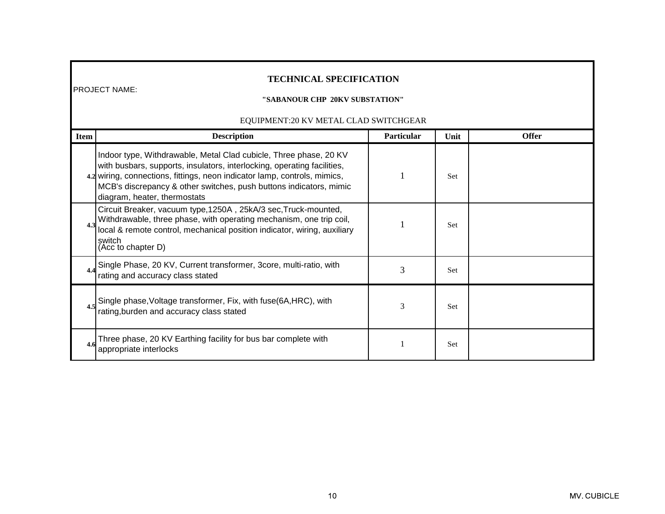# **TECHNICAL SPECIFICATION**

### **"SABANOUR CHP 20KV SUBSTATION"**

| <b>Item</b> | <b>Description</b>                                                                                                                                                                                                                                                                                                              | <b>Particular</b> | Unit       | <b>Offer</b> |
|-------------|---------------------------------------------------------------------------------------------------------------------------------------------------------------------------------------------------------------------------------------------------------------------------------------------------------------------------------|-------------------|------------|--------------|
|             | Indoor type, Withdrawable, Metal Clad cubicle, Three phase, 20 KV<br>with busbars, supports, insulators, interlocking, operating facilities,<br>4.2 wiring, connections, fittings, neon indicator lamp, controls, mimics,<br>MCB's discrepancy & other switches, push buttons indicators, mimic<br>diagram, heater, thermostats |                   | <b>Set</b> |              |
| 4.3         | Circuit Breaker, vacuum type, 1250A, 25kA/3 sec, Truck-mounted,<br>Withdrawable, three phase, with operating mechanism, one trip coil,<br>local & remote control, mechanical position indicator, wiring, auxiliary<br>switch<br>(Acc to chapter D)                                                                              |                   | Set        |              |
| 4.4         | Single Phase, 20 KV, Current transformer, 3core, multi-ratio, with<br>rating and accuracy class stated                                                                                                                                                                                                                          | 3                 | Set        |              |
|             | Single phase, Voltage transformer, Fix, with fuse(6A, HRC), with rating, burden and accuracy class stated                                                                                                                                                                                                                       | 3                 | Set        |              |
| 4.6         | Three phase, 20 KV Earthing facility for bus bar complete with<br>appropriate interlocks                                                                                                                                                                                                                                        |                   | Set        |              |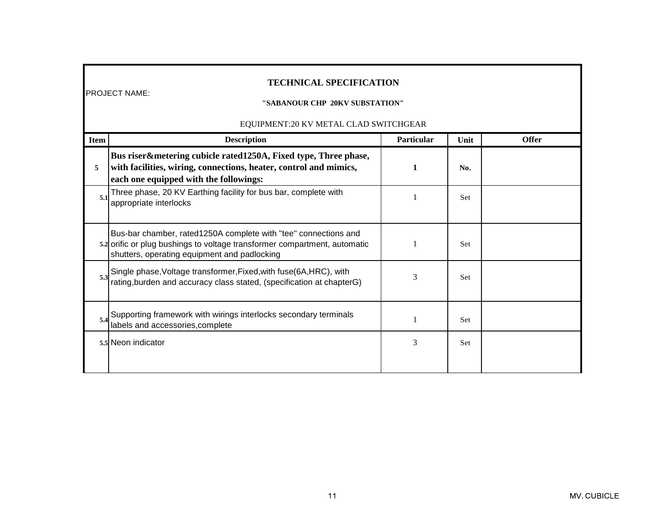## **TECHNICAL SPECIFICATION**

#### **"SABANOUR CHP 20KV SUBSTATION"**

| <b>Item</b> | <b>Description</b>                                                                                                                                                                           | Particular | Unit       | <b>Offer</b> |
|-------------|----------------------------------------------------------------------------------------------------------------------------------------------------------------------------------------------|------------|------------|--------------|
| 5           | Bus riser&metering cubicle rated1250A, Fixed type, Three phase,<br>with facilities, wiring, connections, heater, control and mimics,<br>each one equipped with the followings:               |            | No.        |              |
| 5.1         | Three phase, 20 KV Earthing facility for bus bar, complete with<br>appropriate interlocks                                                                                                    |            | Set        |              |
|             | Bus-bar chamber, rated1250A complete with "tee" connections and<br>5.2 orific or plug bushings to voltage transformer compartment, automatic<br>shutters, operating equipment and padlocking |            | Set        |              |
|             | Single phase, Voltage transformer, Fixed, with fuse(6A, HRC), with rating, burden and accuracy class stated, (specification at chapterG)                                                     | 3          | <b>Set</b> |              |
|             | Supporting framework with wirings interlocks secondary terminals<br>labels and accessories, complete                                                                                         |            | <b>Set</b> |              |
|             | 5.5 Neon indicator                                                                                                                                                                           | 3          | Set        |              |
|             |                                                                                                                                                                                              |            |            |              |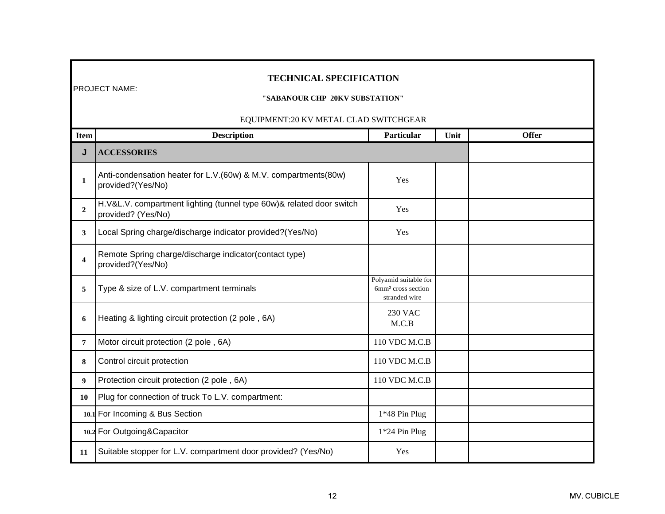# **TECHNICAL SPECIFICATION**

### **"SABANOUR CHP 20KV SUBSTATION"**

| Item                    | <b>Description</b>                                                                         | Particular                                                               | Unit | <b>Offer</b> |
|-------------------------|--------------------------------------------------------------------------------------------|--------------------------------------------------------------------------|------|--------------|
| J                       | <b>ACCESSORIES</b>                                                                         |                                                                          |      |              |
| 1                       | Anti-condensation heater for L.V.(60w) & M.V. compartments(80w)<br>provided?(Yes/No)       | Yes                                                                      |      |              |
| $\overline{2}$          | H.V&L.V. compartment lighting (tunnel type 60w)& related door switch<br>provided? (Yes/No) | Yes                                                                      |      |              |
| 3                       | Local Spring charge/discharge indicator provided?(Yes/No)                                  | Yes                                                                      |      |              |
| $\overline{\mathbf{4}}$ | Remote Spring charge/discharge indicator(contact type)<br>provided?(Yes/No)                |                                                                          |      |              |
| 5                       | Type & size of L.V. compartment terminals                                                  | Polyamid suitable for<br>6mm <sup>2</sup> cross section<br>stranded wire |      |              |
| 6                       | Heating & lighting circuit protection (2 pole, 6A)                                         | <b>230 VAC</b><br>M.C.B                                                  |      |              |
| $\overline{7}$          | Motor circuit protection (2 pole, 6A)                                                      | 110 VDC M.C.B                                                            |      |              |
| 8                       | Control circuit protection                                                                 | 110 VDC M.C.B                                                            |      |              |
| 9                       | Protection circuit protection (2 pole, 6A)                                                 | 110 VDC M.C.B                                                            |      |              |
| 10                      | Plug for connection of truck To L.V. compartment:                                          |                                                                          |      |              |
|                         | 10.1 For Incoming & Bus Section                                                            | 1*48 Pin Plug                                                            |      |              |
|                         | 10.2 For Outgoing&Capacitor                                                                | 1*24 Pin Plug                                                            |      |              |
| 11                      | Suitable stopper for L.V. compartment door provided? (Yes/No)                              | Yes                                                                      |      |              |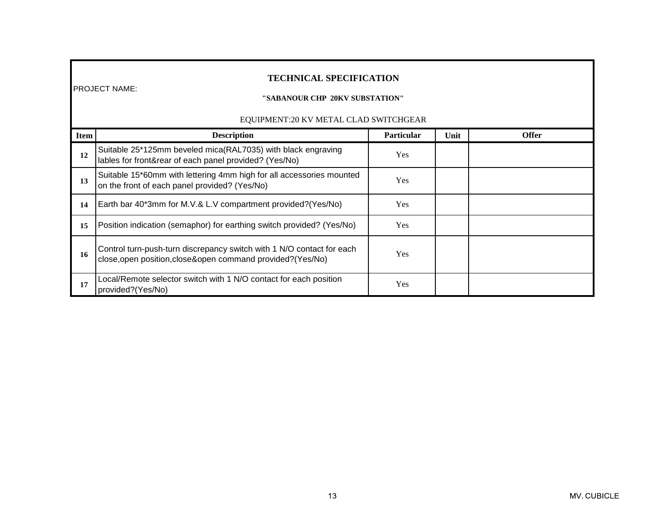# **TECHNICAL SPECIFICATION**

## **"SABANOUR CHP 20KV SUBSTATION"**

| <b>Item</b> | <b>Description</b>                                                                                                                    | <b>Particular</b> | Unit | <b>Offer</b> |
|-------------|---------------------------------------------------------------------------------------------------------------------------------------|-------------------|------|--------------|
| 12          | Suitable 25*125mm beveled mica(RAL7035) with black engraving<br>lables for front&rear of each panel provided? (Yes/No)                | <b>Yes</b>        |      |              |
| 13          | Suitable 15*60mm with lettering 4mm high for all accessories mounted<br>on the front of each panel provided? (Yes/No)                 | <b>Yes</b>        |      |              |
| 14          | Earth bar 40*3mm for M.V.& L.V compartment provided? (Yes/No)                                                                         | <b>Yes</b>        |      |              |
| 15          | Position indication (semaphor) for earthing switch provided? (Yes/No)                                                                 | Yes               |      |              |
| 16          | Control turn-push-turn discrepancy switch with 1 N/O contact for each<br>close, open position, close& open command provided? (Yes/No) | <b>Yes</b>        |      |              |
| 17          | Local/Remote selector switch with 1 N/O contact for each position<br>provided?(Yes/No)                                                | <b>Yes</b>        |      |              |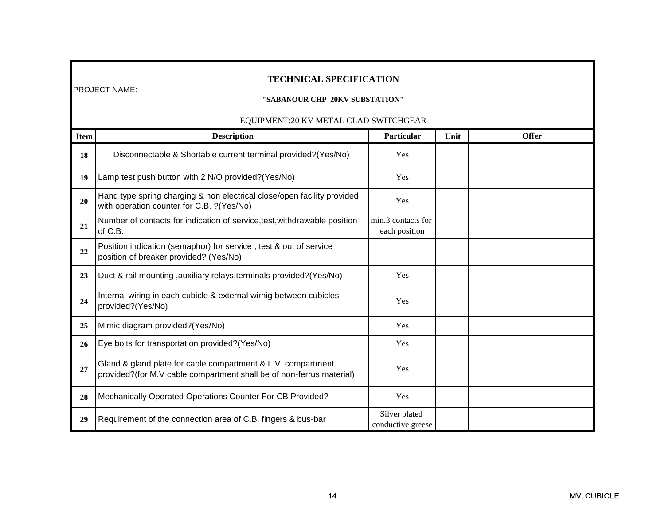# **TECHNICAL SPECIFICATION**

### **"SABANOUR CHP 20KV SUBSTATION"**

| <b>Item</b> | <b>Description</b>                                                                                                                   | Particular                          | Unit | <b>Offer</b> |
|-------------|--------------------------------------------------------------------------------------------------------------------------------------|-------------------------------------|------|--------------|
| 18          | Disconnectable & Shortable current terminal provided?(Yes/No)                                                                        | Yes                                 |      |              |
| 19          | Lamp test push button with 2 N/O provided?(Yes/No)                                                                                   | Yes                                 |      |              |
| 20          | Hand type spring charging & non electrical close/open facility provided<br>with operation counter for C.B. ?(Yes/No)                 | Yes                                 |      |              |
| 21          | Number of contacts for indication of service, test, withdrawable position<br>of C.B.                                                 | min.3 contacts for<br>each position |      |              |
| 22          | Position indication (semaphor) for service, test & out of service<br>position of breaker provided? (Yes/No)                          |                                     |      |              |
| 23          | Duct & rail mounting, auxiliary relays, terminals provided? (Yes/No)                                                                 | Yes                                 |      |              |
| 24          | Internal wiring in each cubicle & external wirnig between cubicles<br>provided?(Yes/No)                                              | Yes                                 |      |              |
| 25          | Mimic diagram provided?(Yes/No)                                                                                                      | Yes                                 |      |              |
| 26          | Eye bolts for transportation provided?(Yes/No)                                                                                       | Yes                                 |      |              |
| 27          | Gland & gland plate for cable compartment & L.V. compartment<br>provided?(for M.V cable compartment shall be of non-ferrus material) | Yes                                 |      |              |
| 28          | Mechanically Operated Operations Counter For CB Provided?                                                                            | Yes                                 |      |              |
| 29          | Requirement of the connection area of C.B. fingers & bus-bar                                                                         | Silver plated<br>conductive greese  |      |              |